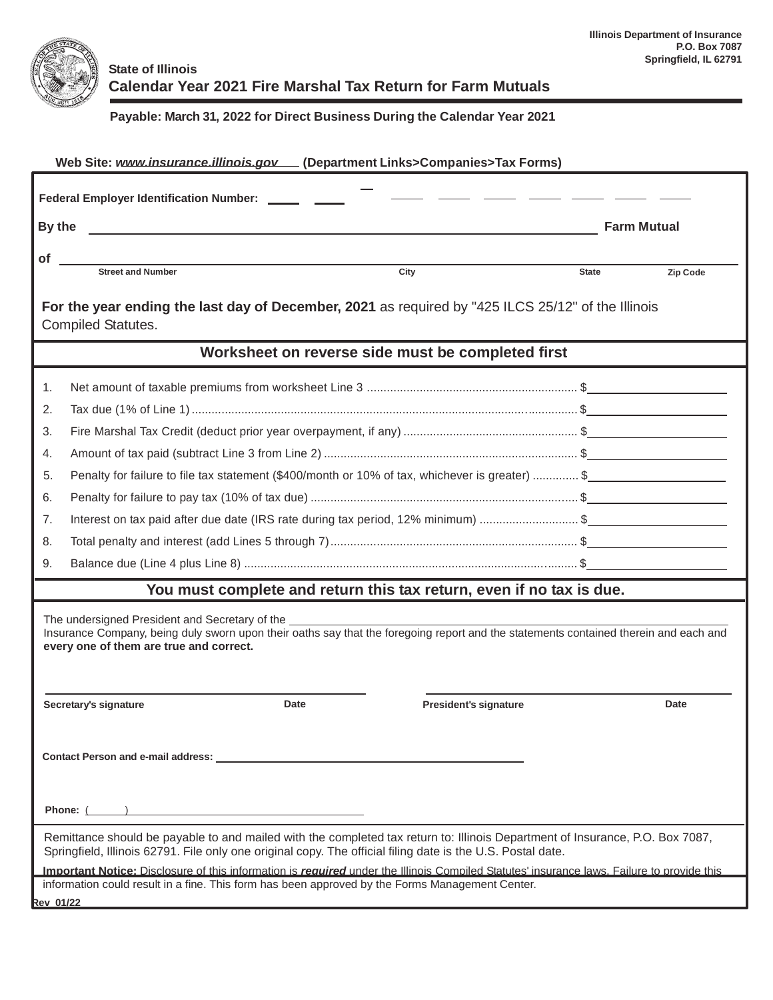

## **State of Illinois Calendar Year 2021 Fire Marshal Tax Return for Farm Mutuals**

## **Payable: March 31, 2022 for Direct Business During the Calendar Year 2021**

| Web Site: www.insurance.illinois.gov [Department Links>Companies>Tax Forms)                                                                                                                                                                                                                                                                                                                                             |                                                                                                 |              |                    |  |  |  |  |  |
|-------------------------------------------------------------------------------------------------------------------------------------------------------------------------------------------------------------------------------------------------------------------------------------------------------------------------------------------------------------------------------------------------------------------------|-------------------------------------------------------------------------------------------------|--------------|--------------------|--|--|--|--|--|
| Federal Employer Identification Number: ______ ____                                                                                                                                                                                                                                                                                                                                                                     |                                                                                                 |              |                    |  |  |  |  |  |
| By the                                                                                                                                                                                                                                                                                                                                                                                                                  | <u> 1989 - Jan Barbara, martxa al II-lea (h. 1989).</u>                                         |              | <b>Farm Mutual</b> |  |  |  |  |  |
| <b>of</b>                                                                                                                                                                                                                                                                                                                                                                                                               |                                                                                                 |              |                    |  |  |  |  |  |
|                                                                                                                                                                                                                                                                                                                                                                                                                         | <b>Street and Number</b><br>City                                                                | <b>State</b> | Zip Code           |  |  |  |  |  |
| For the year ending the last day of December, 2021 as required by "425 ILCS 25/12" of the Illinois<br><b>Compiled Statutes.</b>                                                                                                                                                                                                                                                                                         |                                                                                                 |              |                    |  |  |  |  |  |
|                                                                                                                                                                                                                                                                                                                                                                                                                         | Worksheet on reverse side must be completed first                                               |              |                    |  |  |  |  |  |
| 1.                                                                                                                                                                                                                                                                                                                                                                                                                      |                                                                                                 |              |                    |  |  |  |  |  |
| 2.                                                                                                                                                                                                                                                                                                                                                                                                                      |                                                                                                 |              |                    |  |  |  |  |  |
| 3.                                                                                                                                                                                                                                                                                                                                                                                                                      |                                                                                                 |              |                    |  |  |  |  |  |
| 4.                                                                                                                                                                                                                                                                                                                                                                                                                      |                                                                                                 |              |                    |  |  |  |  |  |
| 5.                                                                                                                                                                                                                                                                                                                                                                                                                      | Penalty for failure to file tax statement (\$400/month or 10% of tax, whichever is greater)  \$ |              |                    |  |  |  |  |  |
| 6.                                                                                                                                                                                                                                                                                                                                                                                                                      |                                                                                                 |              |                    |  |  |  |  |  |
| 7.                                                                                                                                                                                                                                                                                                                                                                                                                      | Interest on tax paid after due date (IRS rate during tax period, 12% minimum) \$                |              |                    |  |  |  |  |  |
| 8.                                                                                                                                                                                                                                                                                                                                                                                                                      |                                                                                                 |              |                    |  |  |  |  |  |
| 9.                                                                                                                                                                                                                                                                                                                                                                                                                      |                                                                                                 |              |                    |  |  |  |  |  |
|                                                                                                                                                                                                                                                                                                                                                                                                                         | You must complete and return this tax return, even if no tax is due.                            |              |                    |  |  |  |  |  |
| The undersigned President and Secretary of the <b>contract the contract of the contract of the contract of the contract of the contract of the contract of the contract of the contract of the contract of the contract of the c</b><br>Insurance Company, being duly sworn upon their oaths say that the foregoing report and the statements contained therein and each and<br>every one of them are true and correct. |                                                                                                 |              |                    |  |  |  |  |  |
|                                                                                                                                                                                                                                                                                                                                                                                                                         | Date<br>Secretary's signature<br><b>President's signature</b>                                   |              | Date               |  |  |  |  |  |
|                                                                                                                                                                                                                                                                                                                                                                                                                         |                                                                                                 |              |                    |  |  |  |  |  |
| Phone: ( )                                                                                                                                                                                                                                                                                                                                                                                                              |                                                                                                 |              |                    |  |  |  |  |  |
| Remittance should be payable to and mailed with the completed tax return to: Illinois Department of Insurance, P.O. Box 7087,<br>Springfield, Illinois 62791. File only one original copy. The official filing date is the U.S. Postal date.                                                                                                                                                                            |                                                                                                 |              |                    |  |  |  |  |  |
| Important Notice: Disclosure of this information is required under the Illinois Compiled Statutes' insurance laws. Failure to provide this<br>information could result in a fine. This form has been approved by the Forms Management Center.                                                                                                                                                                           |                                                                                                 |              |                    |  |  |  |  |  |
| <b>Rev 01/22</b>                                                                                                                                                                                                                                                                                                                                                                                                        |                                                                                                 |              |                    |  |  |  |  |  |
|                                                                                                                                                                                                                                                                                                                                                                                                                         |                                                                                                 |              |                    |  |  |  |  |  |